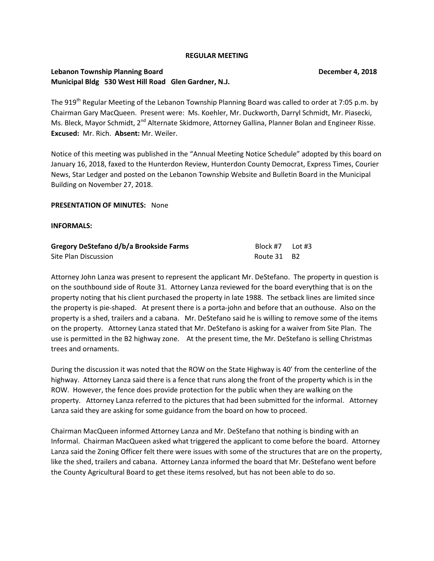#### **REGULAR MEETING**

## **Lebanon Township Planning Board Community Community Community Community Community Community Community Community Community Community Community Community Community Community Community Community Community Community Community Municipal Bldg 530 West Hill Road Glen Gardner, N.J.**

The 919<sup>th</sup> Regular Meeting of the Lebanon Township Planning Board was called to order at 7:05 p.m. by Chairman Gary MacQueen. Present were: Ms. Koehler, Mr. Duckworth, Darryl Schmidt, Mr. Piasecki, Ms. Bleck, Mayor Schmidt, 2<sup>nd</sup> Alternate Skidmore, Attorney Gallina, Planner Bolan and Engineer Risse. **Excused:** Mr. Rich. **Absent:** Mr. Weiler.

Notice of this meeting was published in the "Annual Meeting Notice Schedule" adopted by this board on January 16, 2018, faxed to the Hunterdon Review, Hunterdon County Democrat, Express Times, Courier News, Star Ledger and posted on the Lebanon Township Website and Bulletin Board in the Municipal Building on November 27, 2018.

#### **PRESENTATION OF MINUTES:** None

#### **INFORMALS:**

| Gregory DeStefano d/b/a Brookside Farms | Block #7    | Lot #3 |
|-----------------------------------------|-------------|--------|
| Site Plan Discussion                    | Route 31 B2 |        |

Attorney John Lanza was present to represent the applicant Mr. DeStefano. The property in question is on the southbound side of Route 31. Attorney Lanza reviewed for the board everything that is on the property noting that his client purchased the property in late 1988. The setback lines are limited since the property is pie-shaped. At present there is a porta-john and before that an outhouse. Also on the property is a shed, trailers and a cabana. Mr. DeStefano said he is willing to remove some of the items on the property. Attorney Lanza stated that Mr. DeStefano is asking for a waiver from Site Plan. The use is permitted in the B2 highway zone. At the present time, the Mr. DeStefano is selling Christmas trees and ornaments.

During the discussion it was noted that the ROW on the State Highway is 40' from the centerline of the highway. Attorney Lanza said there is a fence that runs along the front of the property which is in the ROW. However, the fence does provide protection for the public when they are walking on the property. Attorney Lanza referred to the pictures that had been submitted for the informal. Attorney Lanza said they are asking for some guidance from the board on how to proceed.

Chairman MacQueen informed Attorney Lanza and Mr. DeStefano that nothing is binding with an Informal. Chairman MacQueen asked what triggered the applicant to come before the board. Attorney Lanza said the Zoning Officer felt there were issues with some of the structures that are on the property, like the shed, trailers and cabana. Attorney Lanza informed the board that Mr. DeStefano went before the County Agricultural Board to get these items resolved, but has not been able to do so.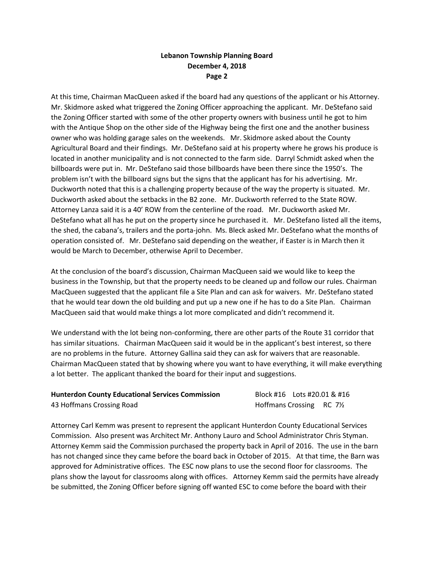## **Lebanon Township Planning Board December 4, 2018 Page 2**

At this time, Chairman MacQueen asked if the board had any questions of the applicant or his Attorney. Mr. Skidmore asked what triggered the Zoning Officer approaching the applicant. Mr. DeStefano said the Zoning Officer started with some of the other property owners with business until he got to him with the Antique Shop on the other side of the Highway being the first one and the another business owner who was holding garage sales on the weekends. Mr. Skidmore asked about the County Agricultural Board and their findings. Mr. DeStefano said at his property where he grows his produce is located in another municipality and is not connected to the farm side. Darryl Schmidt asked when the billboards were put in. Mr. DeStefano said those billboards have been there since the 1950's. The problem isn't with the billboard signs but the signs that the applicant has for his advertising. Mr. Duckworth noted that this is a challenging property because of the way the property is situated. Mr. Duckworth asked about the setbacks in the B2 zone. Mr. Duckworth referred to the State ROW. Attorney Lanza said it is a 40' ROW from the centerline of the road. Mr. Duckworth asked Mr. DeStefano what all has he put on the property since he purchased it. Mr. DeStefano listed all the items, the shed, the cabana's, trailers and the porta-john. Ms. Bleck asked Mr. DeStefano what the months of operation consisted of. Mr. DeStefano said depending on the weather, if Easter is in March then it would be March to December, otherwise April to December.

At the conclusion of the board's discussion, Chairman MacQueen said we would like to keep the business in the Township, but that the property needs to be cleaned up and follow our rules. Chairman MacQueen suggested that the applicant file a Site Plan and can ask for waivers. Mr. DeStefano stated that he would tear down the old building and put up a new one if he has to do a Site Plan. Chairman MacQueen said that would make things a lot more complicated and didn't recommend it.

We understand with the lot being non-conforming, there are other parts of the Route 31 corridor that has similar situations. Chairman MacQueen said it would be in the applicant's best interest, so there are no problems in the future. Attorney Gallina said they can ask for waivers that are reasonable. Chairman MacQueen stated that by showing where you want to have everything, it will make everything a lot better. The applicant thanked the board for their input and suggestions.

| <b>Hunterdon County Educational Services Commission</b> | Block #16    Lots #20.01 & #16        |  |
|---------------------------------------------------------|---------------------------------------|--|
| 43 Hoffmans Crossing Road                               | Hoffmans Crossing RC 7 <sup>1/2</sup> |  |

Attorney Carl Kemm was present to represent the applicant Hunterdon County Educational Services Commission. Also present was Architect Mr. Anthony Lauro and School Administrator Chris Styman. Attorney Kemm said the Commission purchased the property back in April of 2016. The use in the barn has not changed since they came before the board back in October of 2015. At that time, the Barn was approved for Administrative offices. The ESC now plans to use the second floor for classrooms. The plans show the layout for classrooms along with offices. Attorney Kemm said the permits have already be submitted, the Zoning Officer before signing off wanted ESC to come before the board with their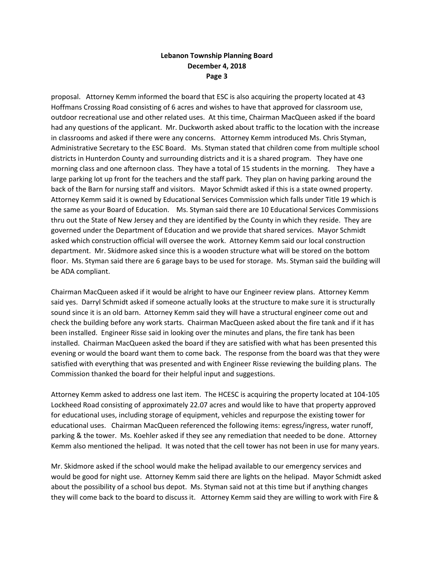## **Lebanon Township Planning Board December 4, 2018 Page 3**

proposal. Attorney Kemm informed the board that ESC is also acquiring the property located at 43 Hoffmans Crossing Road consisting of 6 acres and wishes to have that approved for classroom use, outdoor recreational use and other related uses. At this time, Chairman MacQueen asked if the board had any questions of the applicant. Mr. Duckworth asked about traffic to the location with the increase in classrooms and asked if there were any concerns. Attorney Kemm introduced Ms. Chris Styman, Administrative Secretary to the ESC Board. Ms. Styman stated that children come from multiple school districts in Hunterdon County and surrounding districts and it is a shared program. They have one morning class and one afternoon class. They have a total of 15 students in the morning. They have a large parking lot up front for the teachers and the staff park. They plan on having parking around the back of the Barn for nursing staff and visitors. Mayor Schmidt asked if this is a state owned property. Attorney Kemm said it is owned by Educational Services Commission which falls under Title 19 which is the same as your Board of Education. Ms. Styman said there are 10 Educational Services Commissions thru out the State of New Jersey and they are identified by the County in which they reside. They are governed under the Department of Education and we provide that shared services. Mayor Schmidt asked which construction official will oversee the work. Attorney Kemm said our local construction department. Mr. Skidmore asked since this is a wooden structure what will be stored on the bottom floor. Ms. Styman said there are 6 garage bays to be used for storage. Ms. Styman said the building will be ADA compliant.

Chairman MacQueen asked if it would be alright to have our Engineer review plans. Attorney Kemm said yes. Darryl Schmidt asked if someone actually looks at the structure to make sure it is structurally sound since it is an old barn. Attorney Kemm said they will have a structural engineer come out and check the building before any work starts. Chairman MacQueen asked about the fire tank and if it has been installed. Engineer Risse said in looking over the minutes and plans, the fire tank has been installed. Chairman MacQueen asked the board if they are satisfied with what has been presented this evening or would the board want them to come back. The response from the board was that they were satisfied with everything that was presented and with Engineer Risse reviewing the building plans. The Commission thanked the board for their helpful input and suggestions.

Attorney Kemm asked to address one last item. The HCESC is acquiring the property located at 104-105 Lockheed Road consisting of approximately 22.07 acres and would like to have that property approved for educational uses, including storage of equipment, vehicles and repurpose the existing tower for educational uses. Chairman MacQueen referenced the following items: egress/ingress, water runoff, parking & the tower. Ms. Koehler asked if they see any remediation that needed to be done. Attorney Kemm also mentioned the helipad. It was noted that the cell tower has not been in use for many years.

Mr. Skidmore asked if the school would make the helipad available to our emergency services and would be good for night use. Attorney Kemm said there are lights on the helipad. Mayor Schmidt asked about the possibility of a school bus depot. Ms. Styman said not at this time but if anything changes they will come back to the board to discuss it. Attorney Kemm said they are willing to work with Fire &